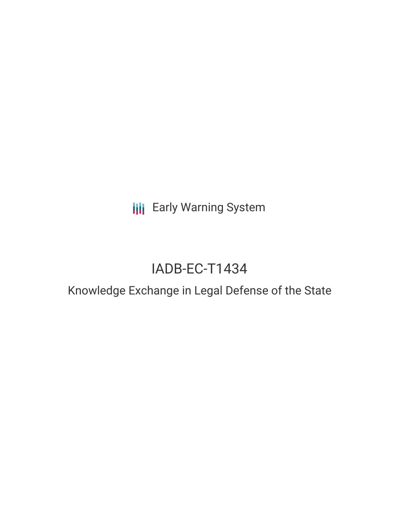**III** Early Warning System

# IADB-EC-T1434

# Knowledge Exchange in Legal Defense of the State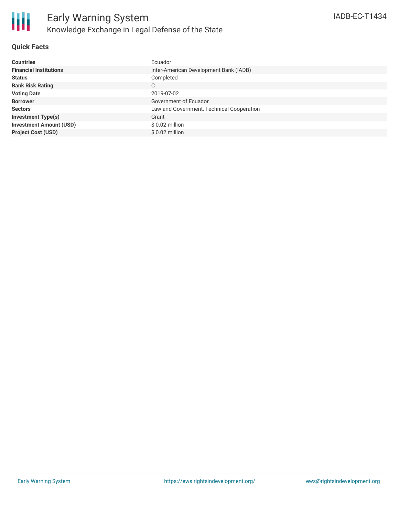

#### **Quick Facts**

| <b>Countries</b>               | Ecuador                                   |
|--------------------------------|-------------------------------------------|
| <b>Financial Institutions</b>  | Inter-American Development Bank (IADB)    |
| <b>Status</b>                  | Completed                                 |
| <b>Bank Risk Rating</b>        | C                                         |
| <b>Voting Date</b>             | 2019-07-02                                |
| <b>Borrower</b>                | Government of Ecuador                     |
| <b>Sectors</b>                 | Law and Government, Technical Cooperation |
| <b>Investment Type(s)</b>      | Grant                                     |
| <b>Investment Amount (USD)</b> | $$0.02$ million                           |
| <b>Project Cost (USD)</b>      | $$0.02$ million                           |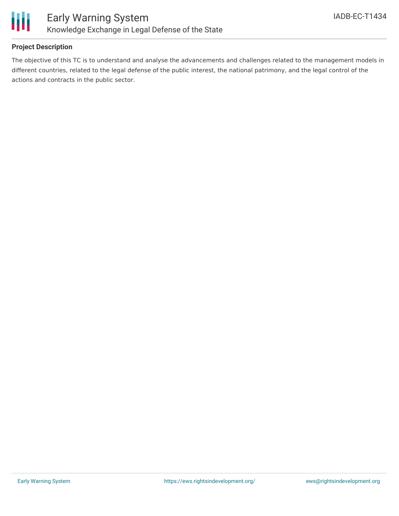

## **Project Description**

The objective of this TC is to understand and analyse the advancements and challenges related to the management models in different countries, related to the legal defense of the public interest, the national patrimony, and the legal control of the actions and contracts in the public sector.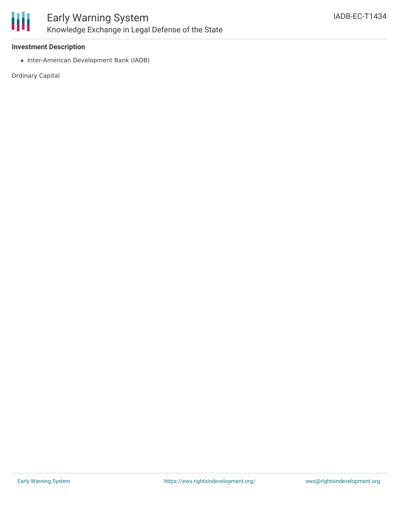

#### **Investment Description**

• Inter-American Development Bank (IADB)

Ordinary Capital